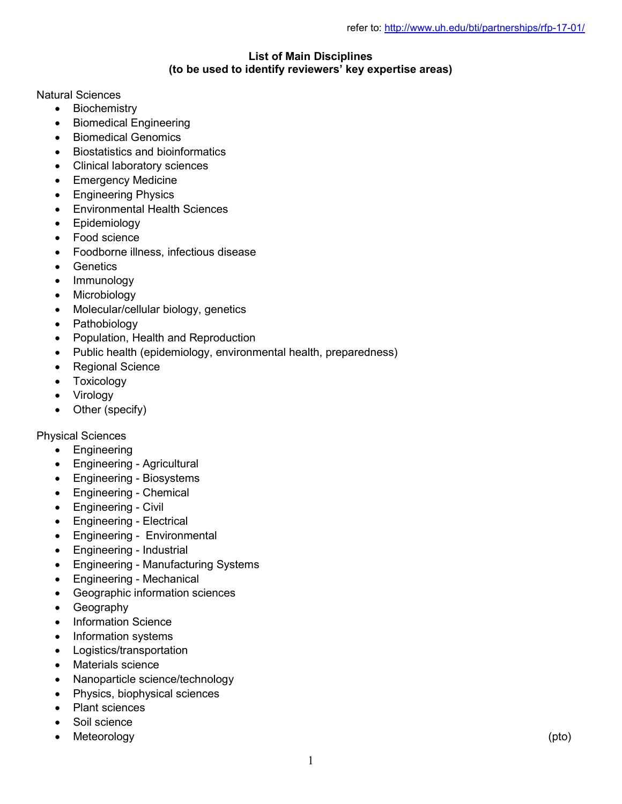## List of Main Disciplines (to be used to identify reviewers' key expertise areas)

## Natural Sciences

- Biochemistry
- Biomedical Engineering
- Biomedical Genomics
- Biostatistics and bioinformatics
- Clinical laboratory sciences
- Emergency Medicine
- **•** Engineering Physics
- Environmental Health Sciences
- Epidemiology
- Food science
- Foodborne illness, infectious disease
- **•** Genetics
- Immunology
- Microbiology
- Molecular/cellular biology, genetics
- Pathobiology
- Population, Health and Reproduction
- Public health (epidemiology, environmental health, preparedness)
- Regional Science
- Toxicology
- Virology
- Other (specify)

Physical Sciences

- Engineering
- Engineering Agricultural
- Engineering Biosystems
- Engineering Chemical
- Engineering Civil
- Engineering Electrical
- Engineering Environmental
- Engineering Industrial
- Engineering Manufacturing Systems
- Engineering Mechanical
- Geographic information sciences
- Geography
- Information Science
- Information systems
- Logistics/transportation
- Materials science
- Nanoparticle science/technology
- Physics, biophysical sciences
- Plant sciences
- Soil science
- Meteorology (pto)